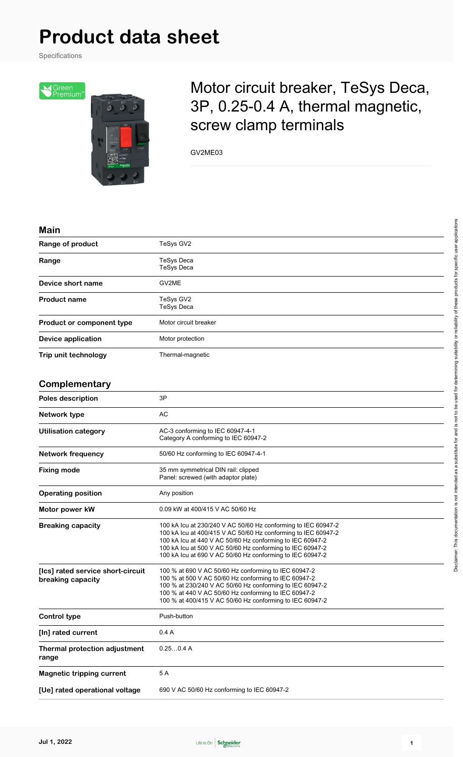Specifications



## Motor circuit breaker, TeSys Deca, 3P, 0.25-0.4 A, thermal magnetic, screw clamp terminals

GV2ME03

#### **Main**

| Range of product                                       | TeSys GV2                                                                                                                                                                                                                                                                                                             |  |
|--------------------------------------------------------|-----------------------------------------------------------------------------------------------------------------------------------------------------------------------------------------------------------------------------------------------------------------------------------------------------------------------|--|
| Range                                                  | <b>TeSys Deca</b><br><b>TeSys Deca</b>                                                                                                                                                                                                                                                                                |  |
| Device short name                                      | GV2ME                                                                                                                                                                                                                                                                                                                 |  |
| <b>Product name</b>                                    | TeSys GV2<br><b>TeSys Deca</b>                                                                                                                                                                                                                                                                                        |  |
| Product or component type                              | Motor circuit breaker                                                                                                                                                                                                                                                                                                 |  |
| <b>Device application</b>                              | Motor protection                                                                                                                                                                                                                                                                                                      |  |
| Trip unit technology                                   | Thermal-magnetic                                                                                                                                                                                                                                                                                                      |  |
| Complementary                                          |                                                                                                                                                                                                                                                                                                                       |  |
| Poles description                                      | 3P                                                                                                                                                                                                                                                                                                                    |  |
| Network type                                           | AC                                                                                                                                                                                                                                                                                                                    |  |
| <b>Utilisation category</b>                            | AC-3 conforming to IEC 60947-4-1<br>Category A conforming to IEC 60947-2                                                                                                                                                                                                                                              |  |
| <b>Network frequency</b>                               | 50/60 Hz conforming to IEC 60947-4-1                                                                                                                                                                                                                                                                                  |  |
| <b>Fixing mode</b>                                     | 35 mm symmetrical DIN rail: clipped<br>Panel: screwed (with adaptor plate)                                                                                                                                                                                                                                            |  |
| <b>Operating position</b>                              | Any position                                                                                                                                                                                                                                                                                                          |  |
| Motor power kW                                         | 0.09 kW at 400/415 V AC 50/60 Hz                                                                                                                                                                                                                                                                                      |  |
| <b>Breaking capacity</b>                               | 100 kA Icu at 230/240 V AC 50/60 Hz conforming to IEC 60947-2<br>100 kA lcu at 400/415 V AC 50/60 Hz conforming to IEC 60947-2<br>100 kA lcu at 440 V AC 50/60 Hz conforming to IEC 60947-2<br>100 kA Icu at 500 V AC 50/60 Hz conforming to IEC 60947-2<br>100 kA Icu at 690 V AC 50/60 Hz conforming to IEC 60947-2 |  |
| [Ics] rated service short-circuit<br>breaking capacity | 100 % at 690 V AC 50/60 Hz conforming to IEC 60947-2<br>100 % at 500 V AC 50/60 Hz conforming to IEC 60947-2<br>100 % at 230/240 V AC 50/60 Hz conforming to IEC 60947-2<br>100 % at 440 V AC 50/60 Hz conforming to IEC 60947-2<br>100 % at 400/415 V AC 50/60 Hz conforming to IEC 60947-2                          |  |
| <b>Control type</b>                                    | Push-button                                                                                                                                                                                                                                                                                                           |  |
| [In] rated current                                     | 0.4A                                                                                                                                                                                                                                                                                                                  |  |
| Thermal protection adjustment<br>range                 | 0.250.4A                                                                                                                                                                                                                                                                                                              |  |
| <b>Magnetic tripping current</b>                       | 5A                                                                                                                                                                                                                                                                                                                    |  |
| [Ue] rated operational voltage                         | 690 V AC 50/60 Hz conforming to IEC 60947-2                                                                                                                                                                                                                                                                           |  |

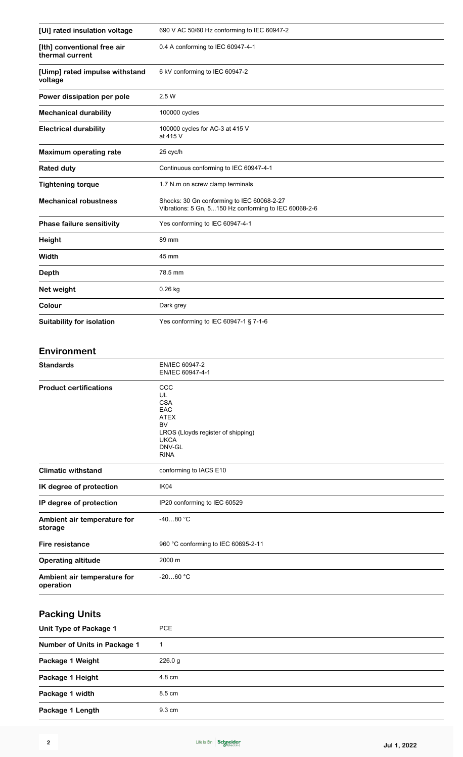| [Ui] rated insulation voltage                  | 690 V AC 50/60 Hz conforming to IEC 60947-2                                                                                                |  |  |
|------------------------------------------------|--------------------------------------------------------------------------------------------------------------------------------------------|--|--|
| [Ith] conventional free air<br>thermal current | 0.4 A conforming to IEC 60947-4-1                                                                                                          |  |  |
| [Uimp] rated impulse withstand<br>voltage      | 6 kV conforming to IEC 60947-2                                                                                                             |  |  |
| Power dissipation per pole                     | 2.5 W                                                                                                                                      |  |  |
| <b>Mechanical durability</b>                   | 100000 cycles                                                                                                                              |  |  |
| <b>Electrical durability</b>                   | 100000 cycles for AC-3 at 415 V<br>at 415 V                                                                                                |  |  |
| <b>Maximum operating rate</b>                  | 25 cyc/h                                                                                                                                   |  |  |
| <b>Rated duty</b>                              | Continuous conforming to IEC 60947-4-1                                                                                                     |  |  |
| <b>Tightening torque</b>                       | 1.7 N.m on screw clamp terminals                                                                                                           |  |  |
| <b>Mechanical robustness</b>                   | Shocks: 30 Gn conforming to IEC 60068-2-27<br>Vibrations: 5 Gn, 5150 Hz conforming to IEC 60068-2-6                                        |  |  |
| <b>Phase failure sensitivity</b>               | Yes conforming to IEC 60947-4-1                                                                                                            |  |  |
| <b>Height</b>                                  | 89 mm                                                                                                                                      |  |  |
| Width                                          | 45 mm                                                                                                                                      |  |  |
| <b>Depth</b>                                   | 78.5 mm                                                                                                                                    |  |  |
| Net weight                                     | 0.26 kg                                                                                                                                    |  |  |
| Colour                                         | Dark grey                                                                                                                                  |  |  |
| Suitability for isolation                      | Yes conforming to IEC 60947-1 § 7-1-6                                                                                                      |  |  |
| Environment                                    |                                                                                                                                            |  |  |
| <b>Standards</b>                               | EN/IEC 60947-2<br>EN/IEC 60947-4-1                                                                                                         |  |  |
| <b>Product certifications</b>                  | $_{\rm ccc}$<br>UL<br><b>CSA</b><br>EAC<br><b>ATEX</b><br>BV<br>LROS (Lloyds register of shipping)<br><b>UKCA</b><br>DNV-GL<br><b>RINA</b> |  |  |
| <b>Climatic withstand</b>                      | conforming to IACS E10                                                                                                                     |  |  |
| IK degree of protection                        | IK04                                                                                                                                       |  |  |
| IP degree of protection                        | IP20 conforming to IEC 60529                                                                                                               |  |  |
| Ambiont oir tomporature for                    | $20^{\circ}$ QA $\sim$                                                                                                                     |  |  |

| Ambient air temperature for<br>storage   | -40…80 °C                           |  |
|------------------------------------------|-------------------------------------|--|
| Fire resistance                          | 960 °C conforming to IEC 60695-2-11 |  |
| <b>Operating altitude</b>                | $2000 \; \text{m}$                  |  |
| Ambient air temperature for<br>operation | $-2060 °C$                          |  |

## **Packing Units**

| Unit Type of Package 1       | <b>PCE</b> |
|------------------------------|------------|
| Number of Units in Package 1 |            |
| Package 1 Weight             | 226.0 g    |
| Package 1 Height             | 4.8 cm     |
| Package 1 width              | 8.5 cm     |
| Package 1 Length             | 9.3 cm     |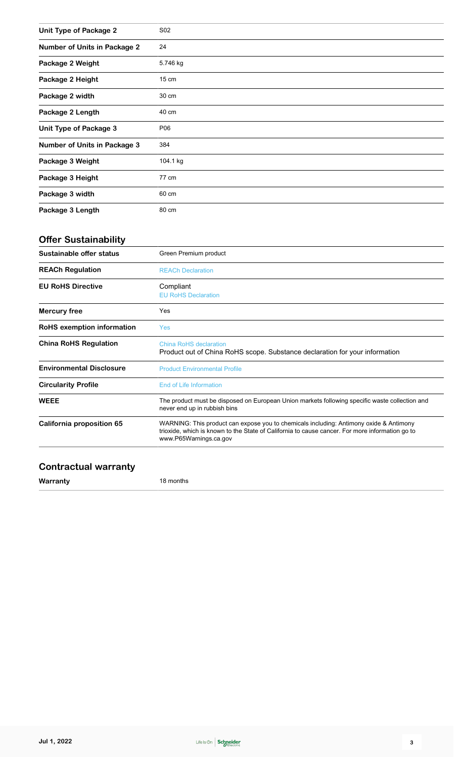| Unit Type of Package 2              | S02             |
|-------------------------------------|-----------------|
| <b>Number of Units in Package 2</b> | 24              |
| Package 2 Weight                    | 5.746 kg        |
| Package 2 Height                    | $15 \text{ cm}$ |
| Package 2 width                     | 30 cm           |
| Package 2 Length                    | 40 cm           |
| Unit Type of Package 3              | P06             |
| <b>Number of Units in Package 3</b> | 384             |
| Package 3 Weight                    | 104.1 kg        |
| Package 3 Height                    | 77 cm           |
| Package 3 width                     | 60 cm           |
| Package 3 Length                    | 80 cm           |

## **Offer Sustainability**

| Sustainable offer status        | Green Premium product                                                                                                                                                                                               |  |
|---------------------------------|---------------------------------------------------------------------------------------------------------------------------------------------------------------------------------------------------------------------|--|
| <b>REACh Regulation</b>         | <b>REACh Declaration</b>                                                                                                                                                                                            |  |
| <b>EU RoHS Directive</b>        | Compliant<br><b>EU RoHS Declaration</b>                                                                                                                                                                             |  |
| <b>Mercury free</b>             | Yes                                                                                                                                                                                                                 |  |
| RoHS exemption information      | <b>Yes</b>                                                                                                                                                                                                          |  |
| <b>China RoHS Regulation</b>    | China RoHS declaration<br>Product out of China RoHS scope. Substance declaration for your information                                                                                                               |  |
| <b>Environmental Disclosure</b> | <b>Product Environmental Profile</b>                                                                                                                                                                                |  |
| <b>Circularity Profile</b>      | End of Life Information                                                                                                                                                                                             |  |
| <b>WEEE</b>                     | The product must be disposed on European Union markets following specific waste collection and<br>never end up in rubbish bins                                                                                      |  |
| California proposition 65       | WARNING: This product can expose you to chemicals including: Antimony oxide & Antimony<br>trioxide, which is known to the State of California to cause cancer. For more information go to<br>www.P65Warnings.ca.gov |  |

#### **Contractual warranty**

**Warranty** 18 months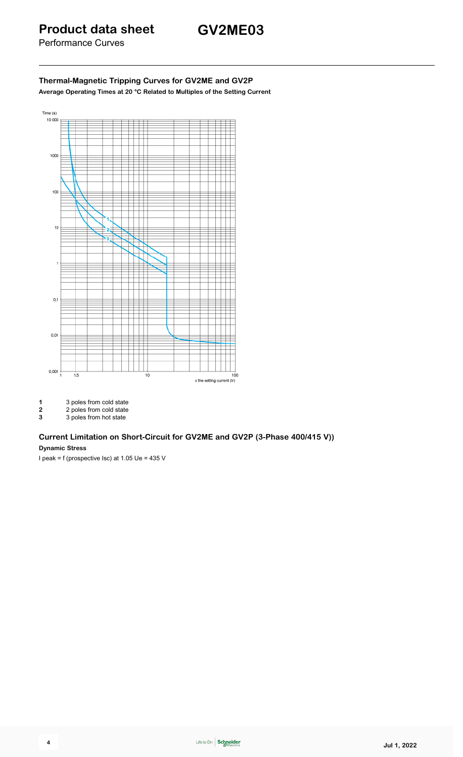Performance Curves

#### **Thermal-Magnetic Tripping Curves for GV2ME and GV2P Average Operating Times at 20 °C Related to Multiples of the Setting Current**



- 
- 1 3 poles from cold state<br>
2 2 poles from cold state<br>
3 3 poles from hot state **2** 2 poles from cold state
- **3** 3 poles from hot state

## **Current Limitation on Short-Circuit for GV2ME and GV2P (3-Phase 400/415 V))**

#### **Dynamic Stress**

I peak = f (prospective Isc) at 1.05 Ue = 435 V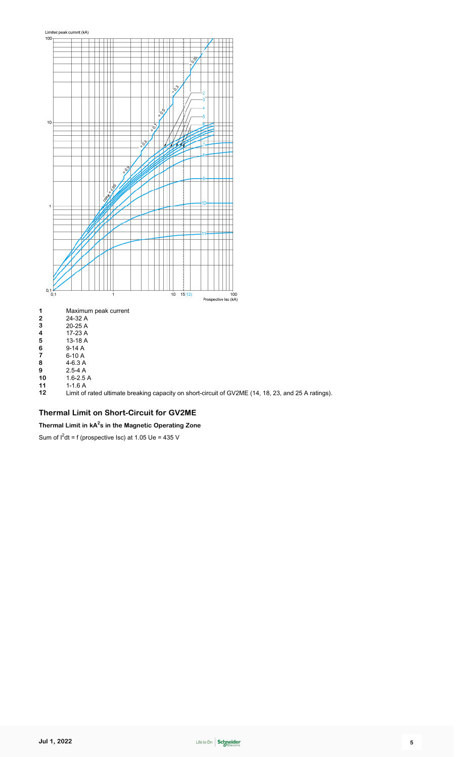

Limit of rated ultimate breaking capacity on short-circuit of GV2ME (14, 18, 23, and 25 A ratings).

#### **Thermal Limit on Short-Circuit for GV2ME**

**Thermal Limit in kA 2 s in the Magnetic Operating Zone**

Sum of  $I^2$ dt = f (prospective Isc) at 1.05 Ue = 435 V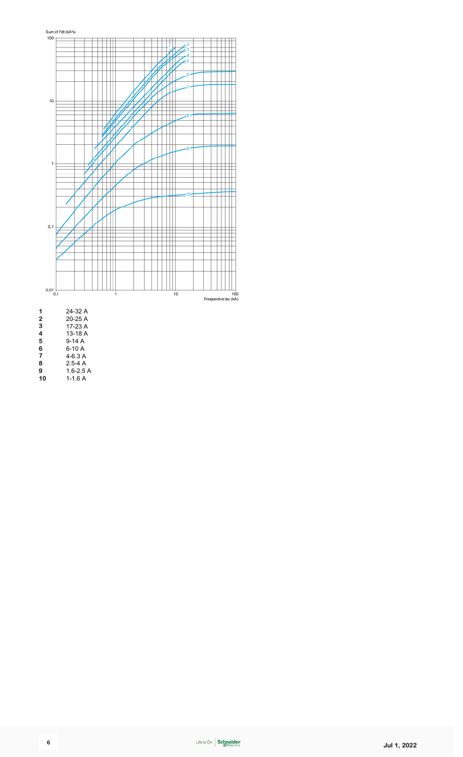

 2.5-4 A 1.6-2.5 A

1-1.6 A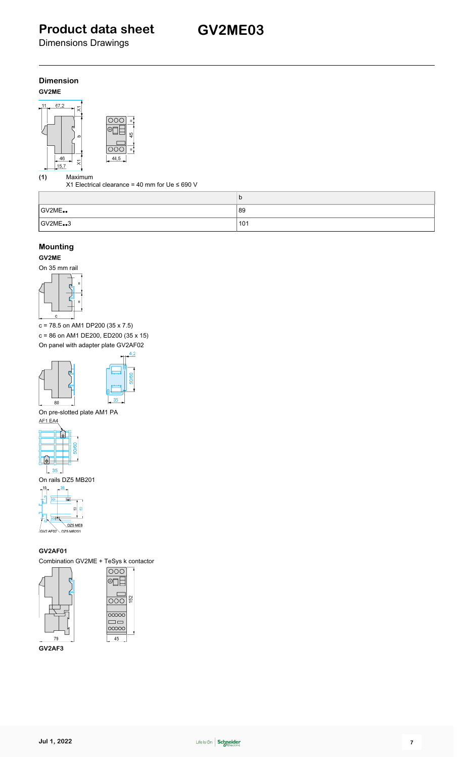Dimensions Drawings

#### **Dimension GV2ME**



**(1)** Maximum

X1 Electrical clearance = 40 mm for Ue ≤ 690 V

|        | b   |
|--------|-----|
| GV2ME. | 89  |
| GV2ME3 | 101 |

#### **Mounting**

**GV2ME**

On 35 mm rail



c = 78.5 on AM1 DP200 (35 x 7.5)

c = 86 on AM1 DE200, ED200 (35 x 15) On panel with adapter plate GV2AF02





On pre-slotted plate AM1 PA



On rails DZ5 MB201



**GV2AF01**

Combination GV2ME + TeSys k contactor



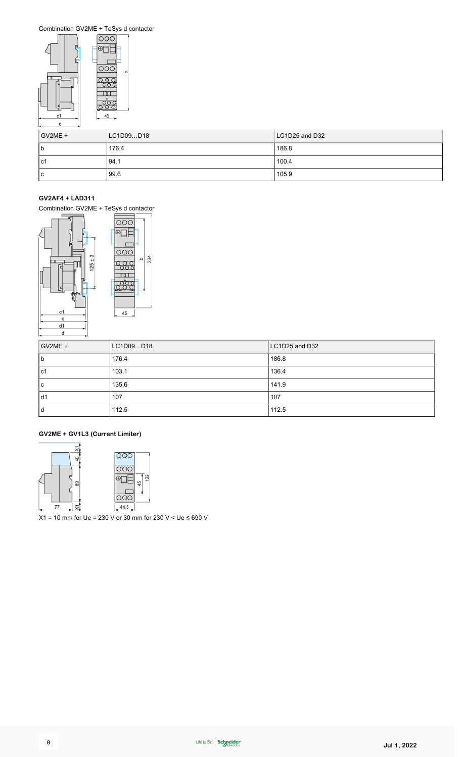Combination GV2ME + TeSys d contactor



| $GV2ME +$   | LC1D09D18 | LC1D25 and D32 |
|-------------|-----------|----------------|
| $\mathsf b$ | 176.4     | 186.8          |
| l c1        | 94.1      | 100.4          |
| c           | 99.6      | 105.9          |

#### **GV2AF4 + LAD311**

Combination GV2ME + TeSys d contactor



| GV2ME + | LC1D09D18 | LC1D25 and D32 |
|---------|-----------|----------------|
| l b     | 176.4     | 186.8          |
| l c1    | 103.1     | 136.4          |
| l c     | 135.6     | 141.9          |
| d1      | 107       | 107            |
| l d     | 112.5     | 112.5          |

#### **GV2ME + GV1L3 (Current Limiter)**



X1 = 10 mm for Ue = 230 V or 30 mm for 230 V < Ue ≤ 690 V